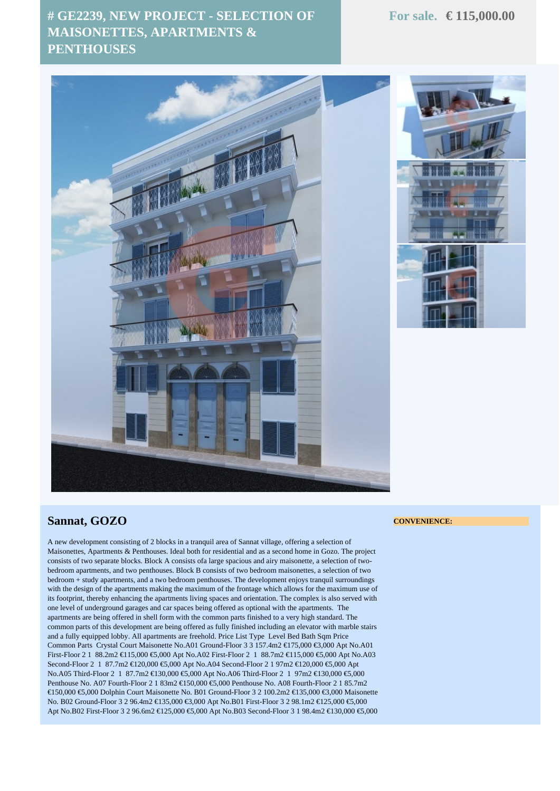## **# GE2239, NEW PROJECT - SELECTION OF MAISONETTES, APARTMENTS & PENTHOUSES**



## **Sannat, GOZO**

A new development consisting of 2 blocks in a tranquil area of Sannat village, offering a selection of Maisonettes, Apartments & Penthouses. Ideal both for residential and as a second home in Gozo. The project consists of two separate blocks. Block A consists ofa large spacious and airy maisonette, a selection of twobedroom apartments, and two penthouses. Block B consists of two bedroom maisonettes, a selection of two bedroom + study apartments, and a two bedroom penthouses. The development enjoys tranquil surroundings with the design of the apartments making the maximum of the frontage which allows for the maximum use of its footprint, thereby enhancing the apartments living spaces and orientation. The complex is also served with one level of underground garages and car spaces being offered as optional with the apartments. The apartments are being offered in shell form with the common parts finished to a very high standard. The common parts of this development are being offered as fully finished including an elevator with marble stairs and a fully equipped lobby. All apartments are freehold. Price List Type Level Bed Bath Sqm Price Common Parts Crystal Court Maisonette No.A01 Ground-Floor 3 3 157.4m2 €175,000 €3,000 Apt No.A01 First-Floor 2 1 88.2m2 €115,000 €5,000 Apt No.A02 First-Floor 2 1 88.7m2 €115,000 €5,000 Apt No.A03 Second-Floor 2 1 87.7m2 €120,000 €5,000 Apt No.A04 Second-Floor 2 1 97m2 €120,000 €5,000 Apt No.A05 Third-Floor 2 1 87.7m2 €130,000 €5,000 Apt No.A06 Third-Floor 2 1 97m2 €130,000 €5,000 Penthouse No. A07 Fourth-Floor 2 1 83m2 €150,000 €5,000 Penthouse No. A08 Fourth-Floor 2 1 85.7m2 €150,000 €5,000 Dolphin Court Maisonette No. B01 Ground-Floor 3 2 100.2m2 €135,000 €3,000 Maisonette No. B02 Ground-Floor 3 2 96.4m2 €135,000 €3,000 Apt No.B01 First-Floor 3 2 98.1m2 €125,000 €5,000 Apt No.B02 First-Floor 3 2 96.6m2 €125,000 €5,000 Apt No.B03 Second-Floor 3 1 98.4m2 €130,000 €5,000

## **CONVENIENCE:**